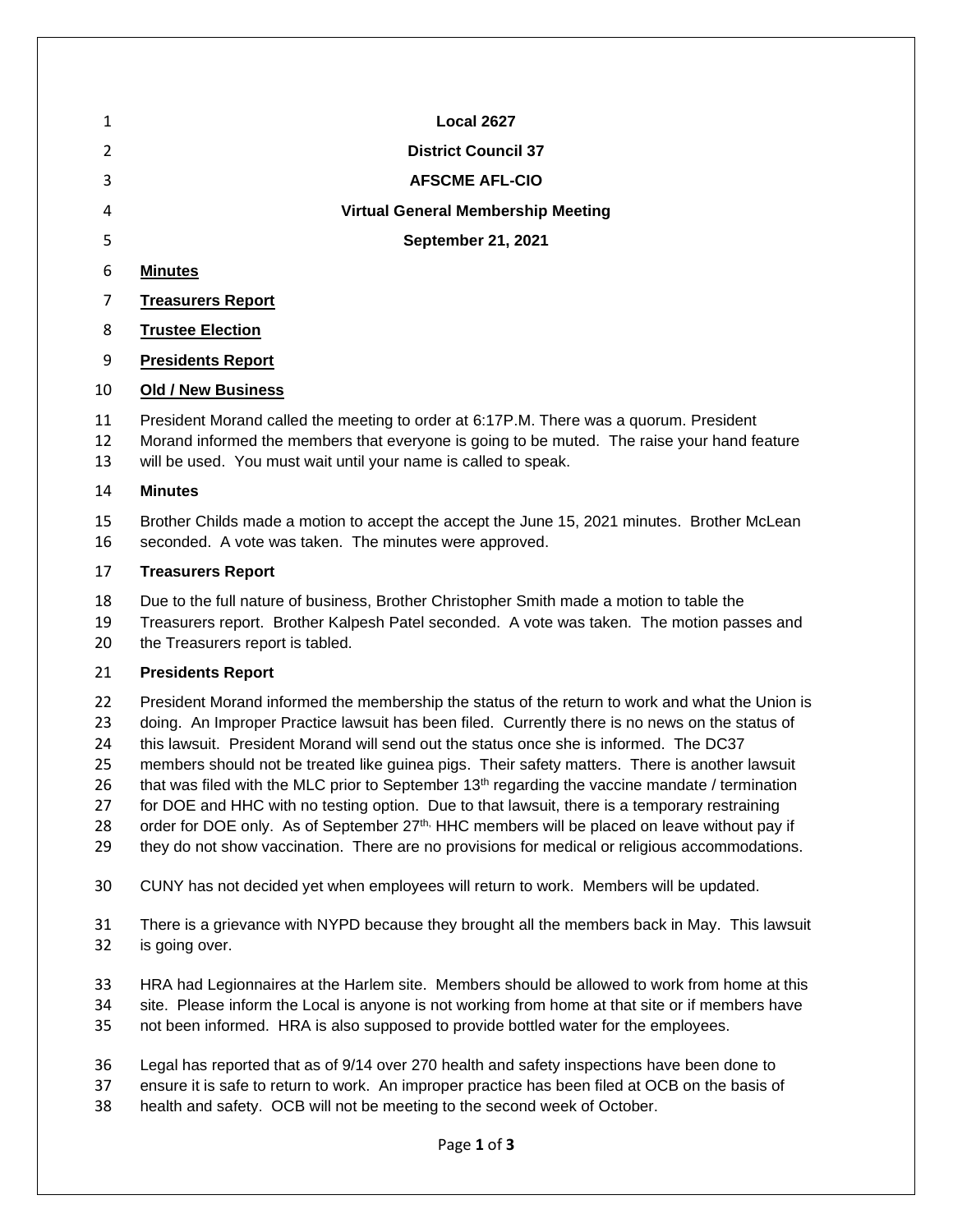| $\mathbf{1}$   |                          | <b>Local 2627</b>                         |  |
|----------------|--------------------------|-------------------------------------------|--|
| $\overline{2}$ |                          | <b>District Council 37</b>                |  |
| 3              |                          | <b>AFSCME AFL-CIO</b>                     |  |
| 4              |                          | <b>Virtual General Membership Meeting</b> |  |
| 5              |                          | September 21, 2021                        |  |
| 6              | <b>Minutes</b>           |                                           |  |
| 7              | <b>Treasurers Report</b> |                                           |  |
| 8              | <b>Trustee Election</b>  |                                           |  |
| 9              | <b>Presidents Report</b> |                                           |  |
|                |                          |                                           |  |

## **Old / New Business**

President Morand called the meeting to order at 6:17P.M. There was a quorum. President

- Morand informed the members that everyone is going to be muted. The raise your hand feature
- will be used. You must wait until your name is called to speak.

## **Minutes**

 Brother Childs made a motion to accept the accept the June 15, 2021 minutes. Brother McLean seconded. A vote was taken. The minutes were approved.

## **Treasurers Report**

- Due to the full nature of business, Brother Christopher Smith made a motion to table the
- Treasurers report. Brother Kalpesh Patel seconded. A vote was taken. The motion passes and

the Treasurers report is tabled.

## **Presidents Report**

President Morand informed the membership the status of the return to work and what the Union is

doing. An Improper Practice lawsuit has been filed. Currently there is no news on the status of

this lawsuit. President Morand will send out the status once she is informed. The DC37

- members should not be treated like guinea pigs. Their safety matters. There is another lawsuit
- 26 that was filed with the MLC prior to September  $13<sup>th</sup>$  regarding the vaccine mandate / termination
- for DOE and HHC with no testing option. Due to that lawsuit, there is a temporary restraining
- 28 order for DOE only. As of September  $27<sup>th</sup>$ . HHC members will be placed on leave without pay if
- they do not show vaccination. There are no provisions for medical or religious accommodations.
- CUNY has not decided yet when employees will return to work. Members will be updated.
- There is a grievance with NYPD because they brought all the members back in May. This lawsuit is going over.
- HRA had Legionnaires at the Harlem site. Members should be allowed to work from home at this
- site. Please inform the Local is anyone is not working from home at that site or if members have
- not been informed. HRA is also supposed to provide bottled water for the employees.
- Legal has reported that as of 9/14 over 270 health and safety inspections have been done to
- ensure it is safe to return to work. An improper practice has been filed at OCB on the basis of
- health and safety. OCB will not be meeting to the second week of October.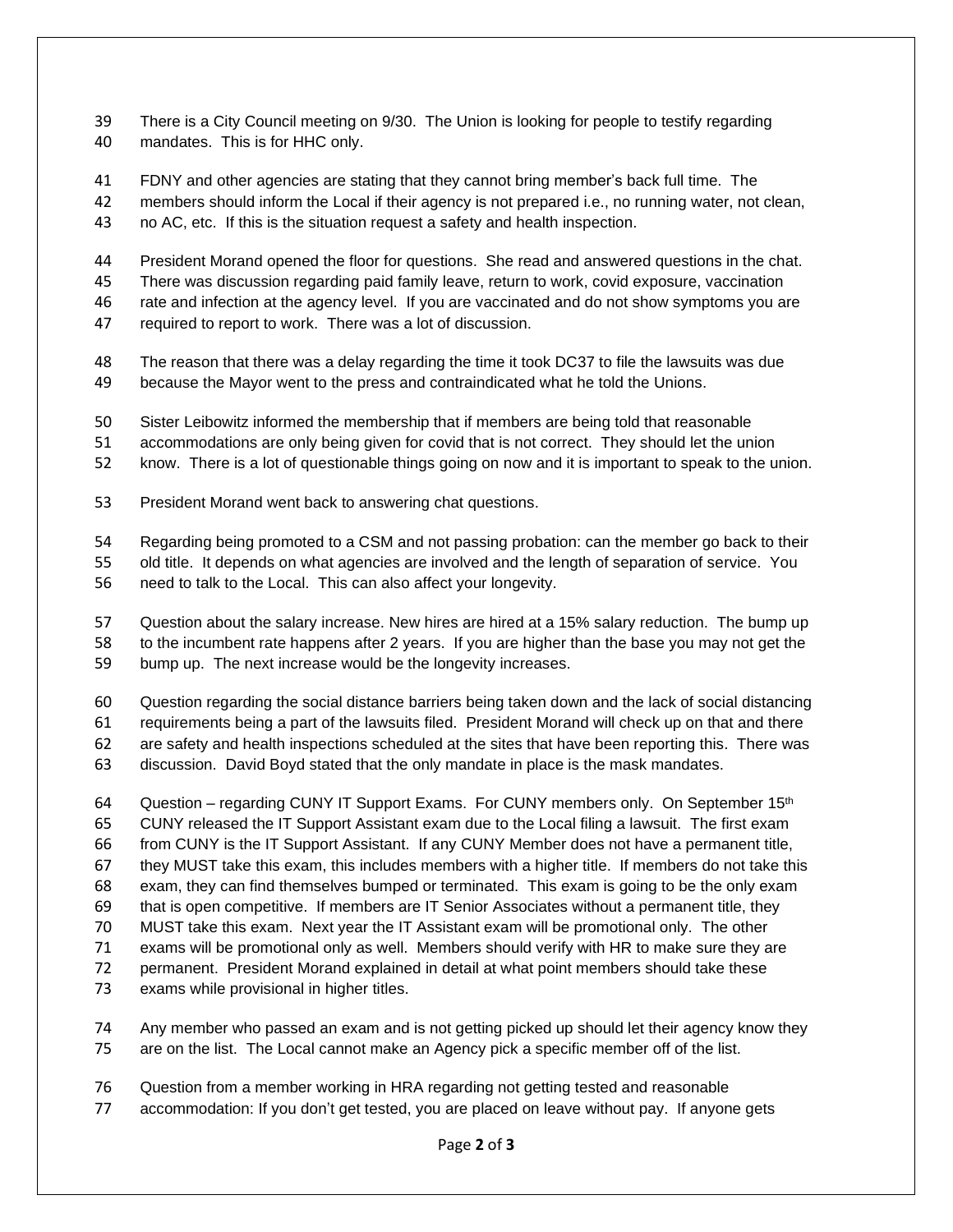- There is a City Council meeting on 9/30. The Union is looking for people to testify regarding mandates. This is for HHC only.
- FDNY and other agencies are stating that they cannot bring member's back full time. The
- members should inform the Local if their agency is not prepared i.e., no running water, not clean,
- no AC, etc. If this is the situation request a safety and health inspection.
- President Morand opened the floor for questions. She read and answered questions in the chat.
- There was discussion regarding paid family leave, return to work, covid exposure, vaccination
- rate and infection at the agency level. If you are vaccinated and do not show symptoms you are
- required to report to work. There was a lot of discussion.
- The reason that there was a delay regarding the time it took DC37 to file the lawsuits was due because the Mayor went to the press and contraindicated what he told the Unions.
- Sister Leibowitz informed the membership that if members are being told that reasonable
- accommodations are only being given for covid that is not correct. They should let the union
- know. There is a lot of questionable things going on now and it is important to speak to the union.
- President Morand went back to answering chat questions.
- Regarding being promoted to a CSM and not passing probation: can the member go back to their
- old title. It depends on what agencies are involved and the length of separation of service. You need to talk to the Local. This can also affect your longevity.
- Question about the salary increase. New hires are hired at a 15% salary reduction. The bump up to the incumbent rate happens after 2 years. If you are higher than the base you may not get the
- bump up. The next increase would be the longevity increases.
- Question regarding the social distance barriers being taken down and the lack of social distancing
- requirements being a part of the lawsuits filed. President Morand will check up on that and there
- are safety and health inspections scheduled at the sites that have been reporting this. There was
- discussion. David Boyd stated that the only mandate in place is the mask mandates.
- 64 Question regarding CUNY IT Support Exams. For CUNY members only. On September 15<sup>th</sup> CUNY released the IT Support Assistant exam due to the Local filing a lawsuit. The first exam from CUNY is the IT Support Assistant. If any CUNY Member does not have a permanent title, they MUST take this exam, this includes members with a higher title. If members do not take this exam, they can find themselves bumped or terminated. This exam is going to be the only exam that is open competitive. If members are IT Senior Associates without a permanent title, they MUST take this exam. Next year the IT Assistant exam will be promotional only. The other exams will be promotional only as well. Members should verify with HR to make sure they are permanent. President Morand explained in detail at what point members should take these exams while provisional in higher titles.
- Any member who passed an exam and is not getting picked up should let their agency know they are on the list. The Local cannot make an Agency pick a specific member off of the list.
- Question from a member working in HRA regarding not getting tested and reasonable
- accommodation: If you don't get tested, you are placed on leave without pay. If anyone gets